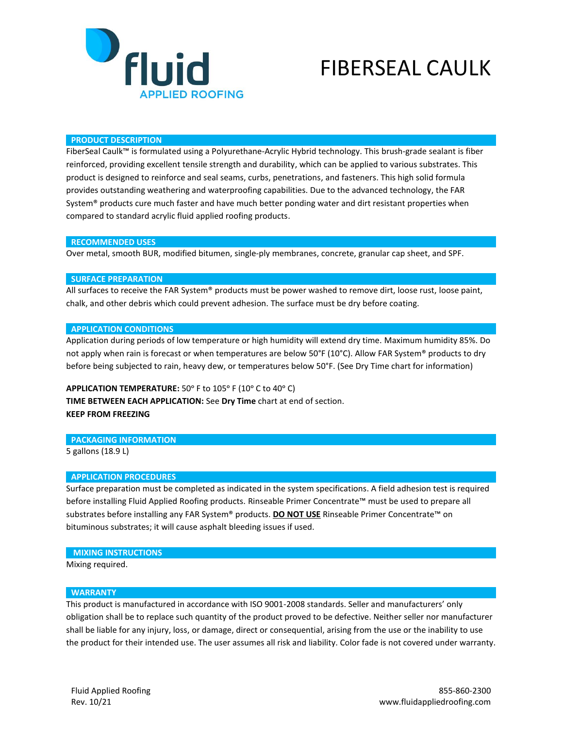

# FIBERSEAL CAULK

#### **PRODUCT DESCRIPTION**

FiberSeal Caulk™ is formulated using a Polyurethane-Acrylic Hybrid technology. This brush-grade sealant is fiber reinforced, providing excellent tensile strength and durability, which can be applied to various substrates. This product is designed to reinforce and seal seams, curbs, penetrations, and fasteners. This high solid formula provides outstanding weathering and waterproofing capabilities. Due to the advanced technology, the FAR System® products cure much faster and have much better ponding water and dirt resistant properties when compared to standard acrylic fluid applied roofing products.

#### **RECOMMENDED USES**

Over metal, smooth BUR, modified bitumen, single-ply membranes, concrete, granular cap sheet, and SPF.

#### **SURFACE PREPARATION**

All surfaces to receive the FAR System® products must be power washed to remove dirt, loose rust, loose paint, chalk, and other debris which could prevent adhesion. The surface must be dry before coating.

### **APPLICATION CONDITIONS**

Application during periods of low temperature or high humidity will extend dry time. Maximum humidity 85%. Do not apply when rain is forecast or when temperatures are below 50°F (10°C). Allow FAR System® products to dry before being subjected to rain, heavy dew, or temperatures below 50°F. (See Dry Time chart for information)

APPLICATION TEMPERATURE: 50° F to 105° F (10° C to 40° C) **TIME BETWEEN EACH APPLICATION:** See **Dry Time** chart at end of section. **KEEP FROM FREEZING**

#### **PACKAGING INFORMATION**

5 gallons (18.9 L)

#### **APPLICATION PROCEDURES**

Surface preparation must be completed as indicated in the system specifications. A field adhesion test is required before installing Fluid Applied Roofing products. Rinseable Primer Concentrate™ must be used to prepare all substrates before installing any FAR System® products. **DO NOT USE** Rinseable Primer Concentrate™ on bituminous substrates; it will cause asphalt bleeding issues if used.

## **MIXING INSTRUCTIONS**

Mixing required.

### **WARRANTY**

This product is manufactured in accordance with ISO 9001-2008 standards. Seller and manufacturers' only obligation shall be to replace such quantity of the product proved to be defective. Neither seller nor manufacturer shall be liable for any injury, loss, or damage, direct or consequential, arising from the use or the inability to use the product for their intended use. The user assumes all risk and liability. Color fade is not covered under warranty.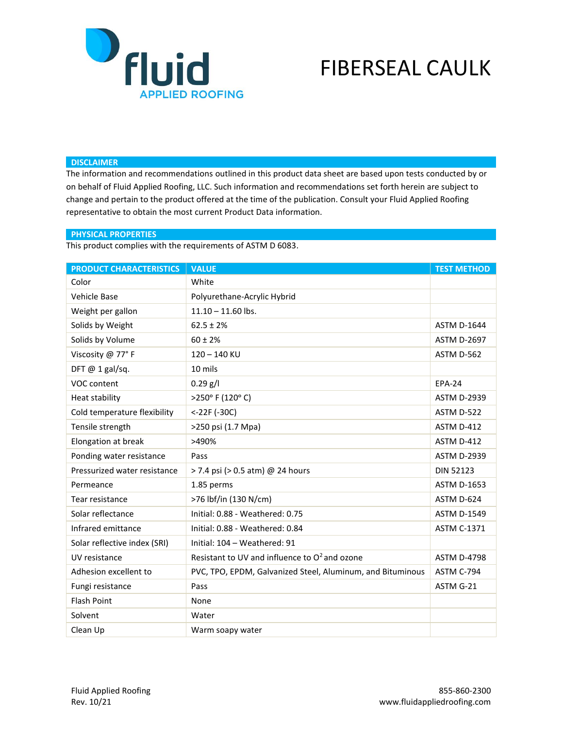

# FIBERSEAL CAULK

# **DISCLAIMER**

The information and recommendations outlined in this product data sheet are based upon tests conducted by or on behalf of Fluid Applied Roofing, LLC. Such information and recommendations set forth herein are subject to change and pertain to the product offered at the time of the publication. Consult your Fluid Applied Roofing representative to obtain the most current Product Data information.

# **PHYSICAL PROPERTIES**

This product complies with the requirements of ASTM D 6083.

| <b>PRODUCT CHARACTERISTICS</b> | <b>VALUE</b>                                               | <b>TEST METHOD</b> |
|--------------------------------|------------------------------------------------------------|--------------------|
| Color                          | White                                                      |                    |
| Vehicle Base                   | Polyurethane-Acrylic Hybrid                                |                    |
| Weight per gallon              | $11.10 - 11.60$ lbs.                                       |                    |
| Solids by Weight               | $62.5 \pm 2\%$                                             | <b>ASTM D-1644</b> |
| Solids by Volume               | $60 \pm 2%$                                                | <b>ASTM D-2697</b> |
| Viscosity @ 77°F               | $120 - 140$ KU                                             | ASTM D-562         |
| DFT $@$ 1 gal/sq.              | 10 mils                                                    |                    |
| VOC content                    | $0.29$ g/l                                                 | <b>EPA-24</b>      |
| Heat stability                 | >250° F (120° C)                                           | <b>ASTM D-2939</b> |
| Cold temperature flexibility   | $< -22F (-30C)$                                            | ASTM D-522         |
| Tensile strength               | >250 psi (1.7 Mpa)                                         | ASTM D-412         |
| Elongation at break            | >490%                                                      | ASTM D-412         |
| Ponding water resistance       | Pass                                                       | <b>ASTM D-2939</b> |
| Pressurized water resistance   | > 7.4 psi (> 0.5 atm) @ 24 hours                           | <b>DIN 52123</b>   |
| Permeance                      | 1.85 perms                                                 | <b>ASTM D-1653</b> |
| Tear resistance                | >76 lbf/in (130 N/cm)                                      | ASTM D-624         |
| Solar reflectance              | Initial: 0.88 - Weathered: 0.75                            | <b>ASTM D-1549</b> |
| Infrared emittance             | Initial: 0.88 - Weathered: 0.84                            | <b>ASTM C-1371</b> |
| Solar reflective index (SRI)   | Initial: 104 - Weathered: 91                               |                    |
| UV resistance                  | Resistant to UV and influence to $O^2$ and ozone           | <b>ASTM D-4798</b> |
| Adhesion excellent to          | PVC, TPO, EPDM, Galvanized Steel, Aluminum, and Bituminous | ASTM C-794         |
| Fungi resistance               | Pass                                                       | ASTM G-21          |
| <b>Flash Point</b>             | None                                                       |                    |
| Solvent                        | Water                                                      |                    |
| Clean Up                       | Warm soapy water                                           |                    |